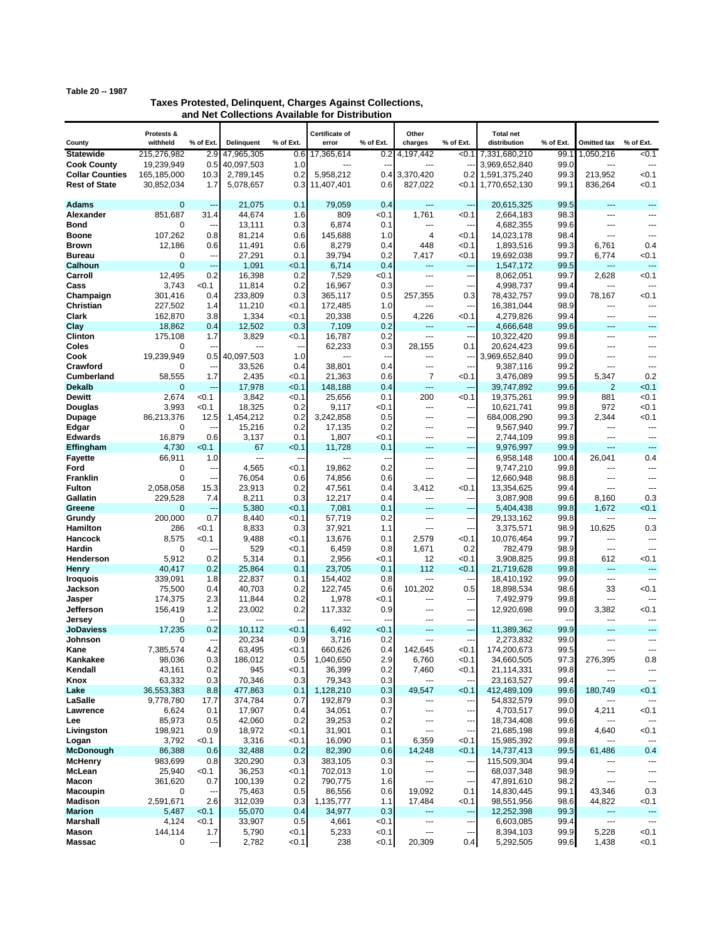## **Table 20 -- 1987**

## **Taxes Protested, Delinquent, Charges Against Collections, and Net Collections Available for Distribution**

|                                                | Protests &                |                       |                        |                          | <b>Certificate of</b>   |                                 | Other                    |                | <b>Total net</b>               |               |                    |                          |
|------------------------------------------------|---------------------------|-----------------------|------------------------|--------------------------|-------------------------|---------------------------------|--------------------------|----------------|--------------------------------|---------------|--------------------|--------------------------|
| County                                         | withheld                  | % of Ext.             | Delinquent             | % of Ext.                | error                   | % of Ext.                       | charges                  | % of Ext.      | distribution                   | % of Ext.     | <b>Omitted tax</b> | % of Ext.                |
| <b>Statewide</b>                               | 215,276,982               | 2.9                   | 47,965,305             | 0.6                      | 17,365,614              | 0.2                             | 4,197,442                | < 0.1          | 7,331,680,210                  | 99.1          | 1.050.216          | < 0.1                    |
| <b>Cook County</b>                             | 19,239,949                | 0.5                   | 40,097,503             | 1.0                      | ---                     | $\overline{\phantom{a}}$        | $\overline{a}$           |                | 3,969,652,840                  | 99.0          | $\overline{a}$     | $\overline{a}$           |
| <b>Collar Counties</b><br><b>Rest of State</b> | 165,185,000<br>30,852,034 | 10.3<br>1.7           | 2,789,145<br>5,078,657 | 0.2<br>0.31              | 5,958,212<br>11,407,401 | 0.4<br>0.6                      | 3,370,420<br>827,022     | 0.2<br>< 0.11  | 1,591,375,240<br>1,770,652,130 | 99.3<br>99.1  | 213,952<br>836,264 | < 0.1<br>< 0.1           |
|                                                |                           |                       |                        |                          |                         |                                 |                          |                |                                |               |                    |                          |
| <b>Adams</b>                                   | $\mathbf{0}$              | --                    | 21.075                 | 0.1                      | 79,059                  | 0.4                             | $\sim$                   | --             | 20,615,325                     | 99.5          | ---                |                          |
| <b>Alexander</b>                               | 851,687                   | 31.4                  | 44,674                 | 1.6                      | 809                     | < 0.1                           | 1,761                    | < 0.1          | 2,664,183                      | 98.3          | $\overline{a}$     | $\overline{a}$           |
| Bond                                           | 0                         | $\overline{a}$        | 13,111                 | 0.3                      | 6,874                   | 0.1                             | ---                      | ---            | 4,682,355                      | 99.6          | ---                | $\overline{a}$           |
| <b>Boone</b>                                   | 107,262                   | 0.8                   | 81,214                 | 0.6                      | 145,688                 | 1.0                             | 4                        | < 0.1          | 14,023,178                     | 98.4          | ---                | ---                      |
| Brown                                          | 12,186                    | 0.6                   | 11,491                 | 0.6                      | 8,279                   | 0.4                             | 448                      | <0.1           | 1,893,516                      | 99.3          | 6,761              | 0.4                      |
| <b>Bureau</b>                                  | 0                         | ---                   | 27,291                 | 0.1                      | 39,794                  | 0.2                             | 7,417                    | < 0.1          | 19,692,038                     | 99.7          | 6,774              | <0.1                     |
| <b>Calhoun</b><br>Carroll                      | $\mathbf{0}$<br>12,495    | ---<br>0.2            | 1,091<br>16,398        | <0.1<br>0.2              | 6,714<br>7,529          | 0.4<br><0.1                     | ---<br>$\overline{a}$    | ---<br>---     | 1,547,172<br>8,062,051         | 99.5<br>99.7  | ---<br>2,628       | ---<br>< 0.1             |
| Cass                                           | 3,743                     | < 0.1                 | 11,814                 | 0.2                      | 16,967                  | 0.3                             | ---                      | …              | 4,998,737                      | 99.4          | ---                |                          |
| Champaign                                      | 301,416                   | 0.4                   | 233,809                | 0.3                      | 365,117                 | 0.5                             | 257,355                  | 0.3            | 78,432,757                     | 99.0          | 78,167             | < 0.1                    |
| Christian                                      | 227,502                   | 1.4                   | 11,210                 | <0.1                     | 172,485                 | 1.0                             | $\overline{a}$           | ---            | 16,381,044                     | 98.9          | ---                | $\overline{a}$           |
| Clark                                          | 162,870                   | 3.8                   | 1,334                  | <0.1                     | 20,338                  | 0.5                             | 4,226                    | < 0.1          | 4,279,826                      | 99.4          | ---                | ---                      |
| Clay                                           | 18,862                    | 0.4                   | 12,502                 | 0.3                      | 7,109                   | 0.2                             | $\overline{a}$           | ---            | 4,666,648                      | 99.6          | $---$              | $- - -$                  |
| Clinton                                        | 175,108                   | 1.7                   | 3,829                  | <0.1                     | 16,787                  | 0.2                             | ---                      | ---            | 10,322,420                     | 99.8          | ---                | ---                      |
| Coles                                          | 0                         |                       |                        | $\overline{\phantom{a}}$ | 62,233                  | 0.3                             | 28,155                   | 0.1            | 20,624,423                     | 99.6          | ---                |                          |
| Cook<br>Crawford                               | 19,239,949<br>0           | 0.5                   | 40,097,503             | 1.0<br>0.4               | ---<br>38,801           | $\overline{\phantom{a}}$<br>0.4 | ---<br>---               | ---            | 3,969,652,840<br>9,387,116     | 99.0<br>99.2  | ---<br>---         | ---<br>---               |
| Cumberland                                     | 58,555                    | 1.7                   | 33,526<br>2,435        | <0.1                     | 21,363                  | 0.6                             | $\overline{7}$           | <0.1           | 3,476,089                      | 99.5          | 5,347              | 0.2                      |
| <b>Dekalb</b>                                  | 0                         | $\sim$                | 17,978                 | < 0.1                    | 148,188                 | 0.4                             | $\overline{a}$           | ---            | 39,747,892                     | 99.6          | 2                  | < 0.1                    |
| <b>Dewitt</b>                                  | 2,674                     | < 0.1                 | 3,842                  | <0.1                     | 25,656                  | 0.1                             | 200                      | < 0.1          | 19,375,261                     | 99.9          | 881                | < 0.1                    |
| Douglas                                        | 3,993                     | < 0.1                 | 18,325                 | 0.2                      | 9,117                   | < 0.1                           | $\overline{a}$           | ---            | 10,621,741                     | 99.8          | 972                | < 0.1                    |
| Dupage                                         | 86,213,376                | 12.5                  | 1,454,212              | 0.2                      | 3,242,858               | 0.5                             | $\overline{a}$           | ---            | 684,008,290                    | 99.3          | 2,344              | < 0.1                    |
| Edgar                                          | 0                         |                       | 15,216                 | 0.2                      | 17,135                  | 0.2                             | ---                      | ---            | 9,567,940                      | 99.7          | ---                | $\overline{a}$           |
| <b>Edwards</b>                                 | 16,879                    | 0.6                   | 3,137                  | 0.1                      | 1,807                   | < 0.1                           | $\overline{a}$           | $\overline{a}$ | 2,744,109                      | 99.8          | ---                | $\overline{a}$           |
| Effingham<br><b>Fayette</b>                    | 4,730                     | < 0.1                 | 67<br>---              | <0.1                     | 11,728                  | 0.1                             | $\sim$<br>$\overline{a}$ | ---<br>---     | 9,976,997<br>6,958,148         | 99.9<br>100.4 | $---$<br>26,041    | $---$<br>0.4             |
| Ford                                           | 66,911<br>0               | 1.0<br>--             | 4,565                  | --<br><0.1               | 19,862                  | --<br>0.2                       | $\overline{a}$           | ---            | 9,747,210                      | 99.8          | ---                | ---                      |
| Franklin                                       | 0                         | --                    | 76,054                 | 0.6                      | 74,856                  | 0.6                             | $\overline{a}$           | ---            | 12,660,948                     | 98.8          | ---                | ---                      |
| <b>Fulton</b>                                  | 2,058,058                 | 15.3                  | 23,913                 | 0.2                      | 47,561                  | 0.4                             | 3,412                    | < 0.1          | 13,354,625                     | 99.4          | ---                | ---                      |
| Gallatin                                       | 229,528                   | 7.4                   | 8,211                  | 0.3                      | 12,217                  | 0.4                             | ---                      | ---            | 3,087,908                      | 99.6          | 8,160              | 0.3                      |
| Greene                                         | 0                         | --                    | 5,380                  | <0.1                     | 7,081                   | 0.1                             | $\sim$                   | ---            | 5,404,438                      | 99.8          | 1,672              | < 0.1                    |
| Grundy                                         | 200,000                   | 0.7                   | 8,440                  | < 0.1                    | 57,719                  | 0.2                             | ---                      | ---            | 29,133,162                     | 99.8          | ---                | $\overline{a}$           |
| Hamilton                                       | 286                       | < 0.1                 | 8,833                  | 0.3                      | 37,921                  | 1.1                             | ---                      | ---            | 3,375,571                      | 98.9          | 10,625             | 0.3                      |
| Hancock<br>Hardin                              | 8,575<br>0                | < 0.1                 | 9,488                  | <0.1<br>< 0.1            | 13,676                  | 0.1                             | 2,579<br>1,671           | < 0.1<br>0.2   | 10,076,464                     | 99.7<br>98.9  | ---<br>---         | ---<br>---               |
| Henderson                                      | 5,912                     | 0.2                   | 529<br>5,314           | 0.1                      | 6,459<br>2,956          | 0.8<br>< 0.1                    | 12                       | < 0.1          | 782,479<br>3,908,825           | 99.8          | 612                | < 0.1                    |
| <b>Henry</b>                                   | 40,417                    | 0.2                   | 25,864                 | 0.1                      | 23,705                  | 0.1                             | 112                      | < 0.1          | 21,719,628                     | 99.8          | ---                | $\sim$                   |
| <b>Iroquois</b>                                | 339,091                   | 1.8                   | 22,837                 | 0.1                      | 154,402                 | 0.8                             | $\overline{a}$           | $\overline{a}$ | 18,410,192                     | 99.0          | $\overline{a}$     | $\sim$                   |
| Jackson                                        | 75,500                    | 0.4                   | 40,703                 | 0.2                      | 122,745                 | 0.6                             | 101,202                  | 0.5            | 18,898,534                     | 98.6          | 33                 | < 0.1                    |
| Jasper                                         | 174,375                   | 2.3                   | 11,844                 | 0.2                      | 1,978                   | < 0.1                           | $\overline{a}$           | ---            | 7,492,979                      | 99.8          | ---                | ---                      |
| Jefferson                                      | 156,419                   | 1.2                   | 23,002                 | 0.2                      | 117,332                 | 0.9                             | ---                      | ---            | 12,920,698                     | 99.0          | 3,382              | < 0.1                    |
| Jersey                                         | 0                         |                       | ---                    |                          | ---                     |                                 | $\overline{a}$           | ---            | ---                            | 99.9          | ---                | $\overline{a}$           |
| <b>JoDaviess</b><br>Johnson                    | 17,235<br>0               | 0.2<br>$\overline{a}$ | 10,112<br>20,234       | < 0.1<br>0.9             | 6,492<br>3,716          | < 0.1<br>0.2                    | $\overline{a}$           | ---<br>--      | 11,389,362<br>2,273,832        | 99.0          | $---$              | $\overline{a}$           |
| Kane                                           | 7,385,574                 | 4.2                   | 63,495                 | < 0.1                    | 660,626                 | 0.4                             | 142,645                  | < 0.1          | 174,200,673                    | 99.5          | ---                | ---                      |
| Kankakee                                       | 98,036                    | 0.3                   | 186,012                | 0.5                      | 1,040,650               | 2.9                             | 6,760                    | < 0.1          | 34,660,505                     | 97.3          | 276,395            | 0.8                      |
| Kendall                                        | 43,161                    | 0.2                   | 945                    | < 0.1                    | 36,399                  | 0.2                             | 7,460                    | < 0.1          | 21,114,331                     | 99.8          | ---                | ---                      |
| Knox                                           | 63,332                    | 0.3                   | 70,346                 | 0.3                      | 79,343                  | 0.3                             | ---                      | ---            | 23,163,527                     | 99.4          | ---                | ---                      |
| Lake                                           | 36,553,383                | 8.8                   | 477,863                | 0.1                      | 1,128,210               | 0.3                             | 49,547                   | < 0.1          | 412,489,109                    | 99.6          | 180,749            | < 0.1                    |
| LaSalle                                        | 9,778,780                 | 17.7                  | 374,784                | 0.7                      | 192,879                 | 0.3                             | ---                      | ---            | 54,832,579                     | 99.0          |                    |                          |
| Lawrence<br>Lee                                | 6,624                     | 0.1<br>0.5            | 17,907<br>42,060       | 0.4<br>0.2               | 34,051                  | 0.7<br>0.2                      | ---                      | ---<br>---     | 4,703,517<br>18,734,408        | 99.0<br>99.6  | 4,211<br>---       | < 0.1                    |
| Livingston                                     | 85,973<br>198,921         | 0.9                   | 18,972                 | < 0.1                    | 39,253<br>31,901        | 0.1                             | ---<br>---               | ---            | 21,685,198                     | 99.8          | 4,640              | < 0.1                    |
| Logan                                          | 3,792                     | < 0.1                 | 3,316                  | < 0.1                    | 16,090                  | 0.1                             | 6,359                    | < 0.1          | 15,985,392                     | 99.8          | ---                |                          |
| <b>McDonough</b>                               | 86,388                    | 0.6                   | 32,488                 | 0.2                      | 82,390                  | 0.6                             | 14,248                   | < 0.1          | 14,737,413                     | 99.5          | 61,486             | 0.4                      |
| McHenry                                        | 983,699                   | 0.8                   | 320,290                | 0.3                      | 383,105                 | 0.3                             | ---                      | ---            | 115,509,304                    | 99.4          | ---                | ---                      |
| McLean                                         | 25,940                    | < 0.1                 | 36,253                 | 0.1                      | 702,013                 | 1.0                             | $\hspace{0.05cm} \ldots$ | ---            | 68,037,348                     | 98.9          | ---                | ---                      |
| Macon                                          | 361,620                   | 0.7                   | 100,139                | 0.2                      | 790,775                 | 1.6                             | ---                      | ---            | 47,891,610                     | 98.2          | ---                | ---                      |
| <b>Macoupin</b>                                | 0                         |                       | 75,463                 | 0.5                      | 86,556                  | 0.6                             | 19,092                   | 0.1            | 14,830,445                     | 99.1          | 43,346             | 0.3                      |
| Madison<br><b>Marion</b>                       | 2,591,671<br>5,487        | 2.6<br>< 0.1          | 312,039<br>55,070      | 0.3<br>0.4               | 1,135,777<br>34,977     | 1.1<br>0.3                      | 17,484<br>---            | < 0.1<br>---   | 98,551,956<br>12,252,398       | 98.6<br>99.3  | 44,822             | < 0.1<br>---             |
| Marshall                                       | 4,124                     | < 0.1                 | 33,907                 | 0.5                      | 4,661                   | < 0.1                           | ---                      | ---            | 6,603,085                      | 99.4          | ---                | $\overline{\phantom{a}}$ |
| Mason                                          | 144,114                   | 1.7                   | 5,790                  | < 0.1                    | 5,233                   | < 0.1                           | ---                      | --             | 8,394,103                      | 99.9          | 5,228              | < 0.1                    |
| Massac                                         | 0                         | --                    | 2,782                  | < 0.1                    | 238                     | < 0.1                           | 20,309                   | 0.4            | 5,292,505                      | 99.6          | 1,438              | < 0.1                    |